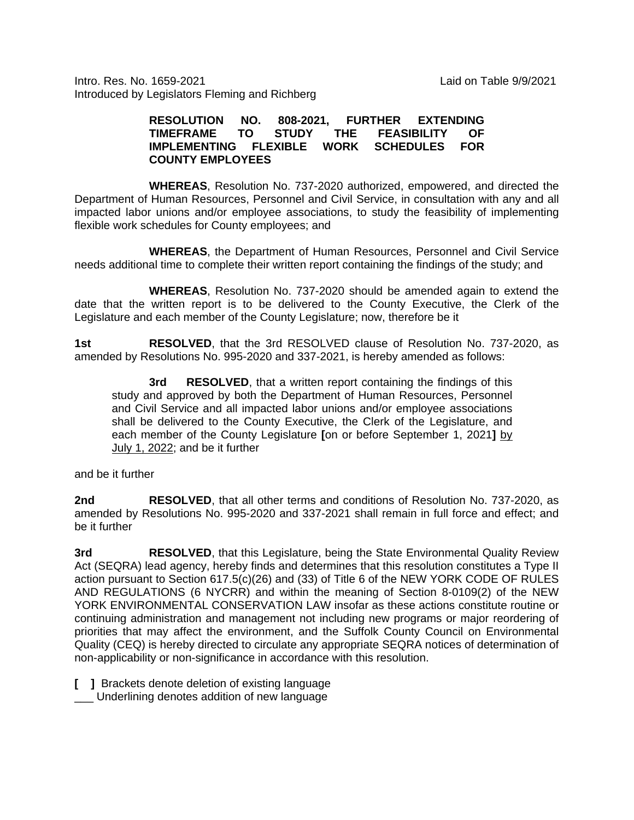Intro. Res. No. 1659-2021 Laid on Table 9/9/2021 Introduced by Legislators Fleming and Richberg

## **RESOLUTION NO. 808-2021, FURTHER EXTENDING THEASIBILITY OF SCHEDULES FOR IMPLEMENTING FLEXIBLE WORK COUNTY EMPLOYEES**

**WHEREAS**, Resolution No. 737-2020 authorized, empowered, and directed the Department of Human Resources, Personnel and Civil Service, in consultation with any and all impacted labor unions and/or employee associations, to study the feasibility of implementing flexible work schedules for County employees; and

**WHEREAS**, the Department of Human Resources, Personnel and Civil Service needs additional time to complete their written report containing the findings of the study; and

**WHEREAS**, Resolution No. 737-2020 should be amended again to extend the date that the written report is to be delivered to the County Executive, the Clerk of the Legislature and each member of the County Legislature; now, therefore be it

**1st RESOLVED**, that the 3rd RESOLVED clause of Resolution No. 737-2020, as amended by Resolutions No. 995-2020 and 337-2021, is hereby amended as follows:

**3rd RESOLVED**, that a written report containing the findings of this study and approved by both the Department of Human Resources, Personnel and Civil Service and all impacted labor unions and/or employee associations shall be delivered to the County Executive, the Clerk of the Legislature, and each member of the County Legislature **[**on or before September 1, 2021**]** by July 1, 2022; and be it further

and be it further

**2nd RESOLVED**, that all other terms and conditions of Resolution No. 737-2020, as amended by Resolutions No. 995-2020 and 337-2021 shall remain in full force and effect; and be it further

**3rd RESOLVED**, that this Legislature, being the State Environmental Quality Review Act (SEQRA) lead agency, hereby finds and determines that this resolution constitutes a Type II action pursuant to Section 617.5(c)(26) and (33) of Title 6 of the NEW YORK CODE OF RULES AND REGULATIONS (6 NYCRR) and within the meaning of Section 8-0109(2) of the NEW YORK ENVIRONMENTAL CONSERVATION LAW insofar as these actions constitute routine or continuing administration and management not including new programs or major reordering of priorities that may affect the environment, and the Suffolk County Council on Environmental Quality (CEQ) is hereby directed to circulate any appropriate SEQRA notices of determination of non-applicability or non-significance in accordance with this resolution.

- **[ ]** Brackets denote deletion of existing language
- \_\_\_ Underlining denotes addition of new language